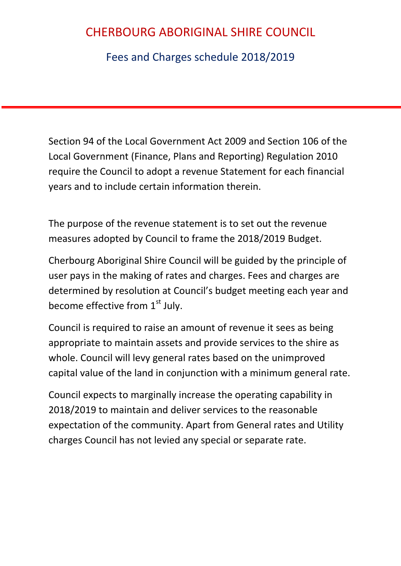Fees and Charges schedule 2018/2019

Section 94 of the Local Government Act 2009 and Section 106 of the Local Government (Finance, Plans and Reporting) Regulation 2010 require the Council to adopt a revenue Statement for each financial years and to include certain information therein.

The purpose of the revenue statement is to set out the revenue measures adopted by Council to frame the 2018/2019 Budget.

Cherbourg Aboriginal Shire Council will be guided by the principle of user pays in the making of rates and charges. Fees and charges are determined by resolution at Council's budget meeting each year and become effective from  $1<sup>st</sup>$  July.

Council is required to raise an amount of revenue it sees as being appropriate to maintain assets and provide services to the shire as whole. Council will levy general rates based on the unimproved capital value of the land in conjunction with a minimum general rate.

Council expects to marginally increase the operating capability in 2018/2019 to maintain and deliver services to the reasonable expectation of the community. Apart from General rates and Utility charges Council has not levied any special or separate rate.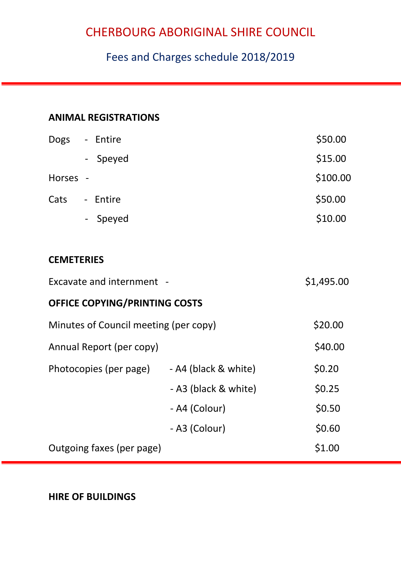### Fees and Charges schedule 2018/2019

#### **ANIMAL REGISTRATIONS**

| <b>Dogs</b> | - Entire | \$50.00  |
|-------------|----------|----------|
|             | - Speyed | \$15.00  |
| Horses -    |          | \$100.00 |
| Cats        | - Entire | \$50.00  |
|             | - Speyed | \$10.00  |

#### **CEMETERIES**

| Excavate and internment -             | \$1,495.00           |         |  |  |  |  |
|---------------------------------------|----------------------|---------|--|--|--|--|
| <b>OFFICE COPYING/PRINTING COSTS</b>  |                      |         |  |  |  |  |
| Minutes of Council meeting (per copy) | \$20.00              |         |  |  |  |  |
| Annual Report (per copy)              |                      | \$40.00 |  |  |  |  |
| Photocopies (per page)                | - A4 (black & white) | \$0.20  |  |  |  |  |
|                                       | - A3 (black & white) | \$0.25  |  |  |  |  |
|                                       | - A4 (Colour)        | \$0.50  |  |  |  |  |
|                                       | - A3 (Colour)        | \$0.60  |  |  |  |  |
| Outgoing faxes (per page)             |                      | \$1.00  |  |  |  |  |

**HIRE OF BUILDINGS**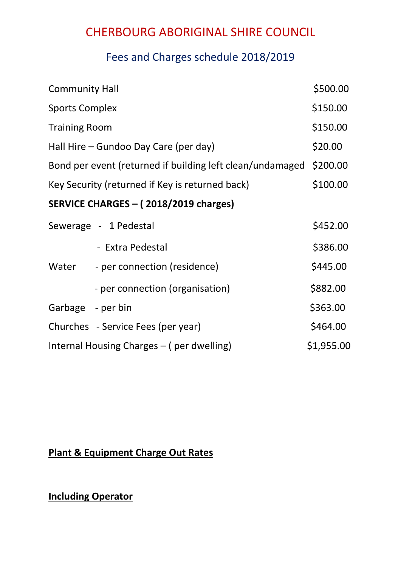### Fees and Charges schedule 2018/2019

| <b>Community Hall</b>                                     |                                           | \$500.00   |
|-----------------------------------------------------------|-------------------------------------------|------------|
| <b>Sports Complex</b>                                     |                                           | \$150.00   |
| <b>Training Room</b>                                      |                                           |            |
| Hall Hire – Gundoo Day Care (per day)                     |                                           | \$20.00    |
| Bond per event (returned if building left clean/undamaged |                                           | \$200.00   |
| Key Security (returned if Key is returned back)           |                                           | \$100.00   |
|                                                           | SERVICE CHARGES - (2018/2019 charges)     |            |
|                                                           | Sewerage - 1 Pedestal                     | \$452.00   |
|                                                           | - Extra Pedestal                          | \$386.00   |
| Water                                                     | - per connection (residence)              | \$445.00   |
|                                                           | - per connection (organisation)           | \$882.00   |
| Garbage - per bin                                         |                                           | \$363.00   |
|                                                           | Churches - Service Fees (per year)        | \$464.00   |
|                                                           | Internal Housing Charges - (per dwelling) | \$1,955.00 |

### **Plant & Equipment Charge Out Rates**

### **Including Operator**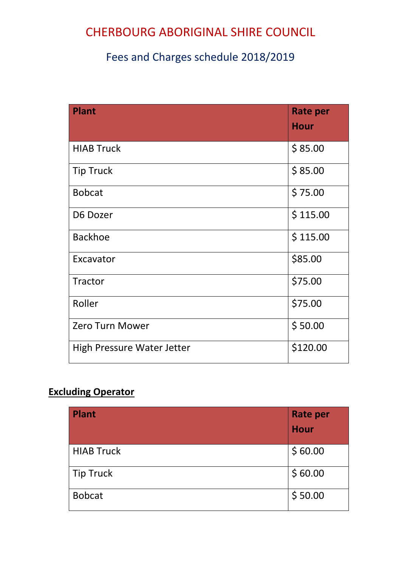### Fees and Charges schedule 2018/2019

| <b>Plant</b>               | <b>Rate per</b><br><b>Hour</b> |
|----------------------------|--------------------------------|
| <b>HIAB Truck</b>          | \$85.00                        |
| <b>Tip Truck</b>           | \$85.00                        |
| <b>Bobcat</b>              | \$75.00                        |
| D6 Dozer                   | \$115.00                       |
| <b>Backhoe</b>             | \$115.00                       |
| Excavator                  | \$85.00                        |
| Tractor                    | \$75.00                        |
| Roller                     | \$75.00                        |
| <b>Zero Turn Mower</b>     | \$50.00                        |
| High Pressure Water Jetter | \$120.00                       |

### **Excluding Operator**

| <b>Plant</b>      | <b>Rate per</b><br><b>Hour</b> |
|-------------------|--------------------------------|
| <b>HIAB Truck</b> | \$60.00                        |
| Tip Truck         | \$60.00                        |
| <b>Bobcat</b>     | \$50.00                        |